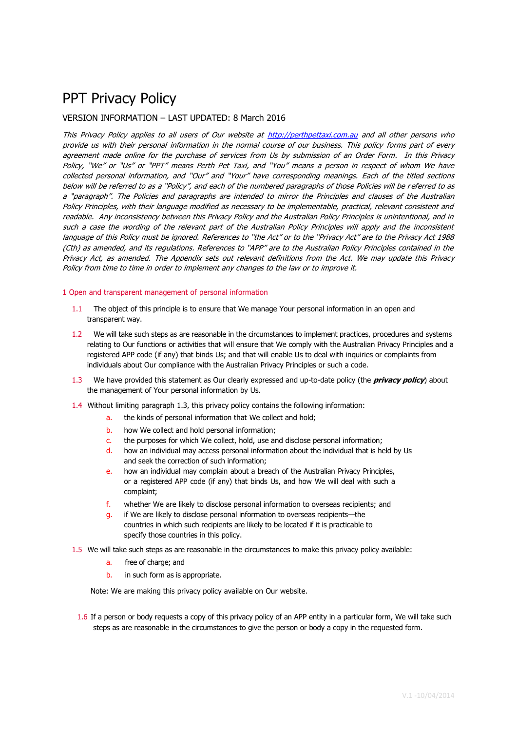# PPT Privacy Policy

# VERSION INFORMATION – LAST UPDATED: 8 March 2016

This Privacy Policy applies to all users of Our website at [http://perthpettaxi.com.au](http://perthpettaxi.com.au/) and all other persons who provide us with their personal information in the normal course of our business. This policy forms part of every agreement made online for the purchase of services from Us by submission of an Order Form. In this Privacy Policy, "We" or "Us" or "PPT" means Perth Pet Taxi, and "You" means a person in respect of whom We have collected personal information, and "Our" and "Your" have corresponding meanings. Each of the titled sections below will be referred to as a "Policy", and each of the numbered paragraphs of those Policies will be referred to as <sup>a</sup>"paragraph". The Policies and paragraphs are intended to mirror the Principles and clauses of the Australian Policy Principles, with their language modified as necessary to be implementable, practical, relevant consistent and readable. Any inconsistency between this Privacy Policy and the Australian Policy Principles is unintentional, and in such a case the wording of the relevant part of the Australian Policy Principles will apply and the inconsistent language of this Policy must be ignored. References to "the Act" or to the "Privacy Act" are to the Privacy Act 1988 (Cth) as amended, and its regulations. References to "APP" are to the Australian Policy Principles contained in the Privacy Act, as amended. The Appendix sets out relevant definitions from the Act. We may update this Privacy Policy from time to time in order to implement any changes to the law or to improve it.

## 1 Open and transparent management of personal information

- 1.1 The object of this principle is to ensure that We manage Your personal information in an open and transparent way.
- 1.2 We will take such steps as are reasonable in the circumstances to implement practices, procedures and systems relating to Our functions or activities that will ensure that We comply with the Australian Privacy Principles and a registered APP code (if any) that binds Us; and that will enable Us to deal with inquiries or complaints from individuals about Our compliance with the Australian Privacy Principles or such a code.
- 1.3 We have provided this statement as Our clearly expressed and up-to-date policy (the **privacy policy**) about the management of Your personal information by Us.
- 1.4 Without limiting paragraph 1.3, this privacy policy contains the following information:
	- a. the kinds of personal information that We collect and hold;
	- b. how We collect and hold personal information;
	- c. the purposes for which We collect, hold, use and disclose personal information;
	- d. how an individual may access personal information about the individual that is held by Us and seek the correction of such information;
	- e. how an individual may complain about a breach of the Australian Privacy Principles, or a registered APP code (if any) that binds Us, and how We will deal with such a complaint;
	- f. whether We are likely to disclose personal information to overseas recipients; and
	- g. if We are likely to disclose personal information to overseas recipients—the countries in which such recipients are likely to be located if it is practicable to specify those countries in this policy.
- 1.5 We will take such steps as are reasonable in the circumstances to make this privacy policy available:
	- a. free of charge; and
	- b. in such form as is appropriate.

Note: We are making this privacy policy available on Our website.

1.6 If a person or body requests a copy of this privacy policy of an APP entity in a particular form, We will take such steps as are reasonable in the circumstances to give the person or body a copy in the requested form.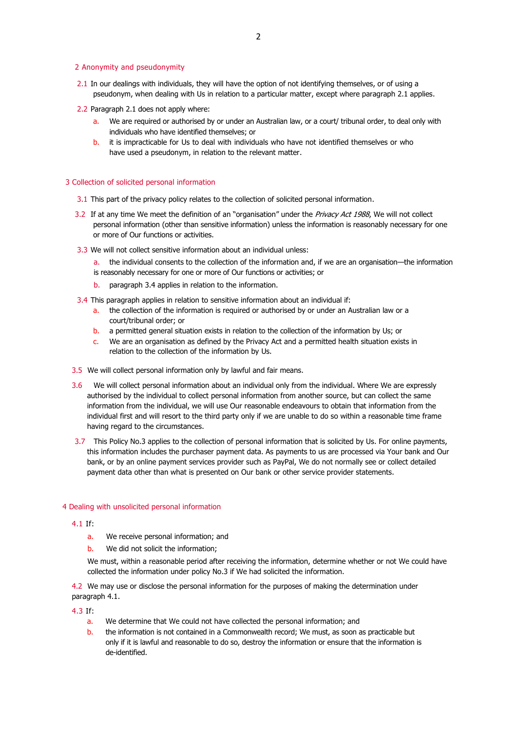#### 2 Anonymity and pseudonymity

- 2.1 In our dealings with individuals, they will have the option of not identifying themselves, or of using a pseudonym, when dealing with Us in relation to a particular matter, except where paragraph 2.1 applies.
- 2.2 Paragraph 2.1 does not apply where:
	- a. We are required or authorised by or under an Australian law, or a court/ tribunal order, to deal only with individuals who have identified themselves; or
	- b. it is impracticable for Us to deal with individuals who have not identified themselves or who have used a pseudonym, in relation to the relevant matter.

#### 3 Collection of solicited personal information

- 3.1 This part of the privacy policy relates to the collection of solicited personal information.
- 3.2 If at any time We meet the definition of an "organisation" under the Privacy Act 1988, We will not collect personal information (other than sensitive information) unless the information is reasonably necessary for one or more of Our functions or activities.
- 3.3 We will not collect sensitive information about an individual unless:
	- a. the individual consents to the collection of the information and, if we are an organisation—the information is reasonably necessary for one or more of Our functions or activities; or
	- b. paragraph 3.4 applies in relation to the information.
- 3.4 This paragraph applies in relation to sensitive information about an individual if:
	- a. the collection of the information is required or authorised by or under an Australian law or a court/tribunal order; or
	- b. a permitted general situation exists in relation to the collection of the information by Us; or
	- c. We are an organisation as defined by the Privacy Act and a permitted health situation exists in relation to the collection of the information by Us.
- 3.5 We will collect personal information only by lawful and fair means.
- 3.6 We will collect personal information about an individual only from the individual. Where We are expressly authorised by the individual to collect personal information from another source, but can collect the same information from the individual, we will use Our reasonable endeavours to obtain that information from the individual first and will resort to the third party only if we are unable to do so within a reasonable time frame having regard to the circumstances.
- 3.7 This Policy No.3 applies to the collection of personal information that is solicited by Us. For online payments, this information includes the purchaser payment data. As payments to us are processed via Your bank and Our bank, or by an online payment services provider such as PayPal, We do not normally see or collect detailed payment data other than what is presented on Our bank or other service provider statements.

#### 4 Dealing with unsolicited personal information

4.1 If:

- a. We receive personal information; and
- b. We did not solicit the information;
- We must, within a reasonable period after receiving the information, determine whether or not We could have collected the information under policy No.3 if We had solicited the information.

4.2 We may use or disclose the personal information for the purposes of making the determination under paragraph 4.1.

4.3 If:

- a. We determine that We could not have collected the personal information; and
- b. the information is not contained in a Commonwealth record; We must, as soon as practicable but only if it is lawful and reasonable to do so, destroy the information or ensure that the information is de-identified.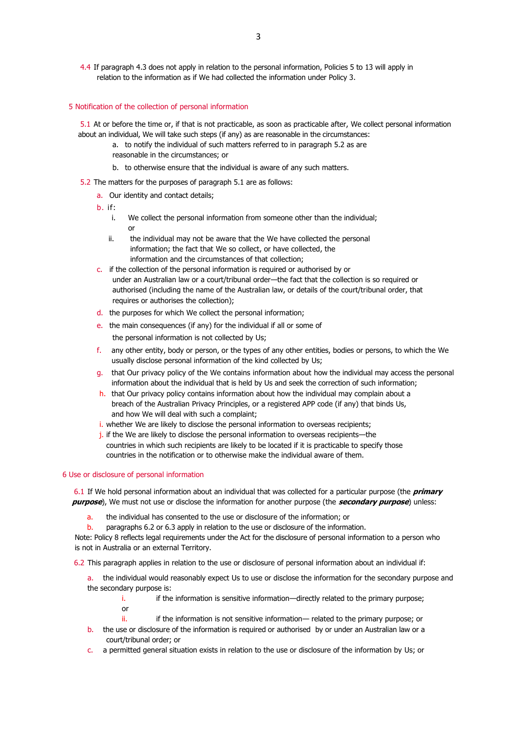4.4 If paragraph 4.3 does not apply in relation to the personal information, Policies 5 to 13 will apply in relation to the information as if We had collected the information under Policy 3.

## 5 Notification of the collection of personal information

5.1 At or before the time or, if that is not practicable, as soon as practicable after, We collect personal information about an individual, We will take such steps (if any) as are reasonable in the circumstances:

- a. to notify the individual of such matters referred to in paragraph 5.2 as are reasonable in the circumstances; or
- b. to otherwise ensure that the individual is aware of any such matters.
- 5.2 The matters for the purposes of paragraph 5.1 are as follows:
	- a. Our identity and contact details;
	- b. if:
		- i. We collect the personal information from someone other than the individual; or
		- ii. the individual may not be aware that the We have collected the personal information; the fact that We so collect, or have collected, the information and the circumstances of that collection;
	- c. if the collection of the personal information is required or authorised by or under an Australian law or a court/tribunal order—the fact that the collection is so required or authorised (including the name of the Australian law, or details of the court/tribunal order, that requires or authorises the collection);
	- d. the purposes for which We collect the personal information;
	- e. the main consequences (if any) for the individual if all or some of the personal information is not collected by Us;
	- f. any other entity, body or person, or the types of any other entities, bodies or persons, to which the We usually disclose personal information of the kind collected by Us;
	- g. that Our privacy policy of the We contains information about how the individual may access the personal information about the individual that is held by Us and seek the correction of such information;
	- h. that Our privacy policy contains information about how the individual may complain about a breach of the Australian Privacy Principles, or a registered APP code (if any) that binds Us, and how We will deal with such a complaint;
	- i. whether We are likely to disclose the personal information to overseas recipients;
	- j. if the We are likely to disclose the personal information to overseas recipients—the countries in which such recipients are likely to be located if it is practicable to specify those countries in the notification or to otherwise make the individual aware of them.

#### 6 Use or disclosure of personal information

6.1 If We hold personal information about an individual that was collected for a particular purpose (the **primary purpose**), We must not use or disclose the information for another purpose (the **secondary purpose**) unless:

a. the individual has consented to the use or disclosure of the information; or

b. paragraphs 6.2 or 6.3 apply in relation to the use or disclosure of the information.

Note: Policy 8 reflects legal requirements under the Act for the disclosure of personal information to a person who is not in Australia or an external Territory.

6.2 This paragraph applies in relation to the use or disclosure of personal information about an individual if:

a. the individual would reasonably expect Us to use or disclose the information for the secondary purpose and the secondary purpose is:

i. if the information is sensitive information—directly related to the primary purpose; or

- ii. ii. if the information is not sensitive information— related to the primary purpose; or
- b. the use or disclosure of the information is required or authorised by or under an Australian law or a court/tribunal order; or
- c. a permitted general situation exists in relation to the use or disclosure of the information by Us; or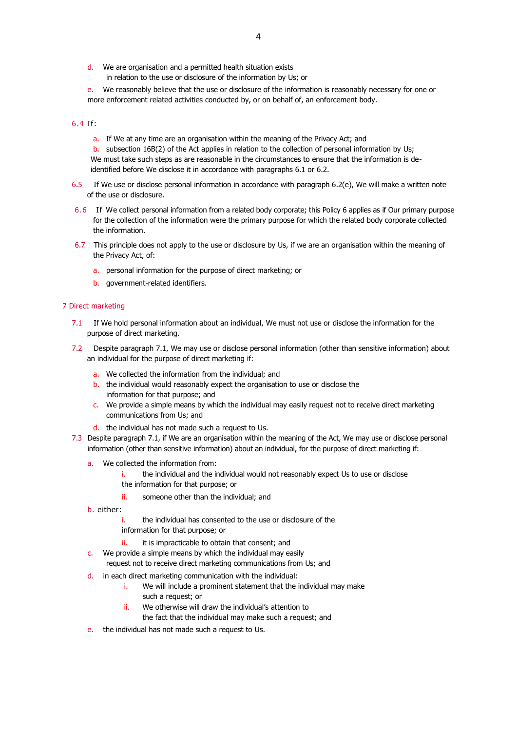- d. We are organisation and a permitted health situation exists in relation to the use or disclosure of the information by Us; or
- e. We reasonably believe that the use or disclosure of the information is reasonably necessary for one or more enforcement related activities conducted by, or on behalf of, an enforcement body.

## 6.4 If:

a. If We at any time are an organisation within the meaning of the Privacy Act; and

b. subsection 16B(2) of the Act applies in relation to the collection of personal information by Us; We must take such steps as are reasonable in the circumstances to ensure that the information is deidentified before We disclose it in accordance with paragraphs 6.1 or 6.2.

- 6.5 If We use or disclose personal information in accordance with paragraph 6.2(e), We will make a written note of the use or disclosure.
- 6.6 If We collect personal information from a related body corporate; this Policy 6 applies as if Our primary purpose for the collection of the information were the primary purpose for which the related body corporate collected the information.
- 6.7 This principle does not apply to the use or disclosure by Us, if we are an organisation within the meaning of the Privacy Act, of:
	- a. personal information for the purpose of direct marketing; or
	- b. government-related identifiers.

## 7 Direct marketing

- 7.1 If We hold personal information about an individual, We must not use or disclose the information for the purpose of direct marketing.
- 7.2 Despite paragraph 7.1, We may use or disclose personal information (other than sensitive information) about an individual for the purpose of direct marketing if:
	- a. We collected the information from the individual; and
	- b. the individual would reasonably expect the organisation to use or disclose the information for that purpose; and
	- c. We provide a simple means by which the individual may easily request not to receive direct marketing communications from Us; and
	- d. the individual has not made such a request to Us.
- 7.3 Despite paragraph 7.1, if We are an organisation within the meaning of the Act, We may use or disclose personal information (other than sensitive information) about an individual, for the purpose of direct marketing if:
	- a. We collected the information from:
		- i. the individual and the individual would not reasonably expect Us to use or disclose
		- the information for that purpose; or
		- ii. someone other than the individual; and
	- b. either:
		- i. the individual has consented to the use or disclosure of the information for that purpose; or
		- ii. it is impracticable to obtain that consent; and
	- c. We provide a simple means by which the individual may easily
		- request not to receive direct marketing communications from Us; and
	- d. in each direct marketing communication with the individual:
		- i. We will include a prominent statement that the individual may make
			- such a request; or
		- ii. We otherwise will draw the individual's attention to the fact that the individual may make such a request; and
	- e. the individual has not made such a request to Us.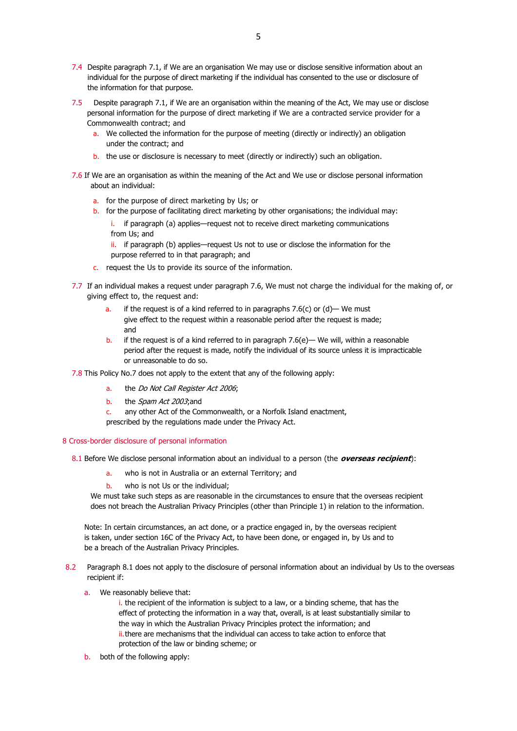- 7.4 Despite paragraph 7.1, if We are an organisation We may use or disclose sensitive information about an individual for the purpose of direct marketing if the individual has consented to the use or disclosure of the information for that purpose.
- 7.5 Despite paragraph 7.1, if We are an organisation within the meaning of the Act, We may use or disclose personal information for the purpose of direct marketing if We are a contracted service provider for a Commonwealth contract; and
	- a. We collected the information for the purpose of meeting (directly or indirectly) an obligation under the contract; and
	- b. the use or disclosure is necessary to meet (directly or indirectly) such an obligation.
- 7.6 If We are an organisation as within the meaning of the Act and We use or disclose personal information about an individual:
	- a. for the purpose of direct marketing by Us; or
	- b. for the purpose of facilitating direct marketing by other organisations; the individual may:
		- if paragraph (a) applies—request not to receive direct marketing communications from Us; and

ii. if paragraph (b) applies—request Us not to use or disclose the information for the purpose referred to in that paragraph; and

- c. request the Us to provide its source of the information.
- 7.7 If an individual makes a request under paragraph 7.6, We must not charge the individual for the making of, or giving effect to, the request and:
	- a. if the request is of a kind referred to in paragraphs 7.6(c) or  $(d)$  We must give effect to the request within a reasonable period after the request is made; and
	- b. if the request is of a kind referred to in paragraph  $7.6(e)$  We will, within a reasonable period after the request is made, notify the individual of its source unless it is impracticable or unreasonable to do so.
- 7.8 This Policy No.7 does not apply to the extent that any of the following apply:
	- a. the Do Not Call Register Act 2006;
	- b. the *Spam Act 2003*; and

c. any other Act of the Commonwealth, or a Norfolk Island enactment,

prescribed by the regulations made under the Privacy Act.

## 8 Cross-border disclosure of personal information

8.1 Before We disclose personal information about an individual to a person (the **overseas recipient**):

- a. who is not in Australia or an external Territory; and
- b. who is not Us or the individual;

We must take such steps as are reasonable in the circumstances to ensure that the overseas recipient does not breach the Australian Privacy Principles (other than Principle 1) in relation to the information.

Note: In certain circumstances, an act done, or a practice engaged in, by the overseas recipient is taken, under section 16C of the Privacy Act, to have been done, or engaged in, by Us and to be a breach of the Australian Privacy Principles.

- 8.2 Paragraph 8.1 does not apply to the disclosure of personal information about an individual by Us to the overseas recipient if:
	- a. We reasonably believe that:

i. the recipient of the information is subject to a law, or a binding scheme, that has the effect of protecting the information in a way that, overall, is at least substantially similar to the way in which the Australian Privacy Principles protect the information; and ii.there are mechanisms that the individual can access to take action to enforce that protection of the law or binding scheme; or

b. both of the following apply: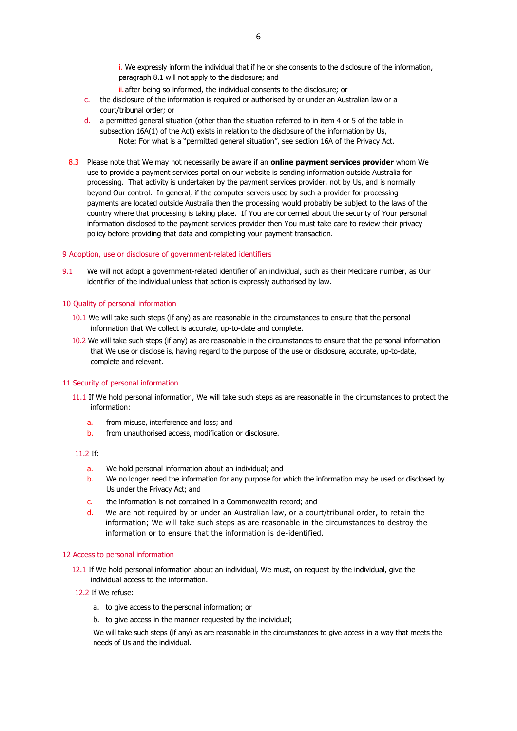i. We expressly inform the individual that if he or she consents to the disclosure of the information, paragraph 8.1 will not apply to the disclosure; and

- ii. after being so informed, the individual consents to the disclosure; or
- c. the disclosure of the information is required or authorised by or under an Australian law or a court/tribunal order; or
- d. a permitted general situation (other than the situation referred to in item 4 or 5 of the table in subsection 16A(1) of the Act) exists in relation to the disclosure of the information by Us, Note: For what is a "permitted general situation", see section 16A of the Privacy Act.
- 8.3 Please note that We may not necessarily be aware if an **online payment services provider** whom We use to provide a payment services portal on our website is sending information outside Australia for processing. That activity is undertaken by the payment services provider, not by Us, and is normally beyond Our control. In general, if the computer servers used by such a provider for processing payments are located outside Australia then the processing would probably be subject to the laws of the country where that processing is taking place. If You are concerned about the security of Your personal information disclosed to the payment services provider then You must take care to review their privacy policy before providing that data and completing your payment transaction.

#### 9 Adoption, use or disclosure of government-related identifiers

9.1 We will not adopt a government-related identifier of an individual, such as their Medicare number, as Our identifier of the individual unless that action is expressly authorised by law.

#### 10 Quality of personal information

- 10.1 We will take such steps (if any) as are reasonable in the circumstances to ensure that the personal information that We collect is accurate, up-to-date and complete.
- 10.2 We will take such steps (if any) as are reasonable in the circumstances to ensure that the personal information that We use or disclose is, having regard to the purpose of the use or disclosure, accurate, up-to-date, complete and relevant.

#### 11 Security of personal information

- 11.1 If We hold personal information, We will take such steps as are reasonable in the circumstances to protect the information:
	- a. from misuse, interference and loss; and
	- b. from unauthorised access, modification or disclosure.

#### 11.2 If:

- a. We hold personal information about an individual; and
- b. We no longer need the information for any purpose for which the information may be used or disclosed by Us under the Privacy Act; and
- c. the information is not contained in a Commonwealth record; and
- d. We are not required by or under an Australian law, or a court/tribunal order, to retain the information; We will take such steps as are reasonable in the circumstances to destroy the information or to ensure that the information is de-identified.

#### 12 Access to personal information

- 12.1 If We hold personal information about an individual, We must, on request by the individual, give the individual access to the information.
- 12.2 If We refuse:
	- a. to give access to the personal information; or
	- b. to give access in the manner requested by the individual;

We will take such steps (if any) as are reasonable in the circumstances to give access in a way that meets the needs of Us and the individual.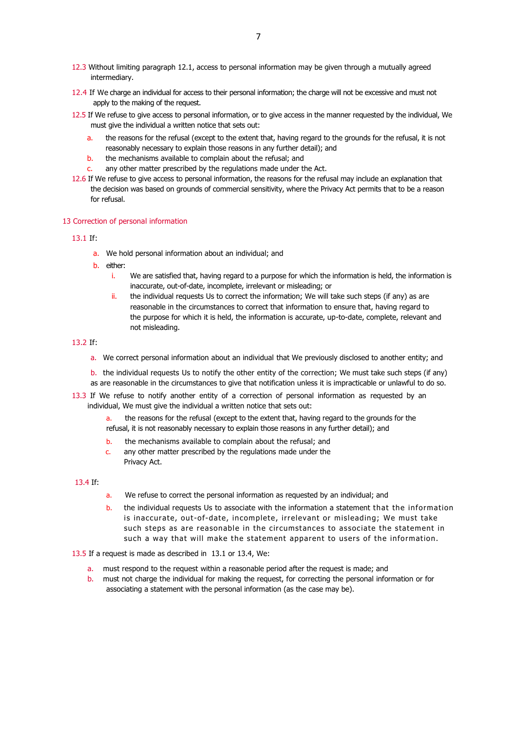- 12.3 Without limiting paragraph 12.1, access to personal information may be given through a mutually agreed intermediary.
- 12.4 If We charge an individual for access to their personal information; the charge will not be excessive and must not apply to the making of the request.
- 12.5 If We refuse to give access to personal information, or to give access in the manner requested by the individual, We must give the individual a written notice that sets out:
	- a. the reasons for the refusal (except to the extent that, having regard to the grounds for the refusal, it is not reasonably necessary to explain those reasons in any further detail); and
	- b. the mechanisms available to complain about the refusal; and
	- c. any other matter prescribed by the regulations made under the Act.
- 12.6 If We refuse to give access to personal information, the reasons for the refusal may include an explanation that the decision was based on grounds of commercial sensitivity, where the Privacy Act permits that to be a reason for refusal.

## 13 Correction of personal information

## 13.1 If:

- a. We hold personal information about an individual; and
- b. either:
	- i. We are satisfied that, having regard to a purpose for which the information is held, the information is inaccurate, out-of-date, incomplete, irrelevant or misleading; or
	- $ii.$  the individual requests Us to correct the information; We will take such steps (if any) as are reasonable in the circumstances to correct that information to ensure that, having regard to the purpose for which it is held, the information is accurate, up-to-date, complete, relevant and not misleading.

# 13.2 If:

- a. We correct personal information about an individual that We previously disclosed to another entity; and
- b. the individual requests Us to notify the other entity of the correction; We must take such steps (if any) as are reasonable in the circumstances to give that notification unless it is impracticable or unlawful to do so.
- 13.3 If We refuse to notify another entity of a correction of personal information as requested by an individual, We must give the individual a written notice that sets out:
	- a. the reasons for the refusal (except to the extent that, having regard to the grounds for the refusal, it is not reasonably necessary to explain those reasons in any further detail); and
	- b. the mechanisms available to complain about the refusal; and
	- c. any other matter prescribed by the regulations made under the Privacy Act.

## 13.4 If:

- a. We refuse to correct the personal information as requested by an individual; and
- b. the individual requests Us to associate with the information a statement that the information is inaccurate, out-of-date, incomplete, irrelevant or misleading; We must take such steps as are reasonable in the circumstances to associate the statement in such a way that will make the statement apparent to users of the information.

13.5 If a request is made as described in 13.1 or 13.4, We:

- a. must respond to the request within a reasonable period after the request is made; and
- b. must not charge the individual for making the request, for correcting the personal information or for associating a statement with the personal information (as the case may be).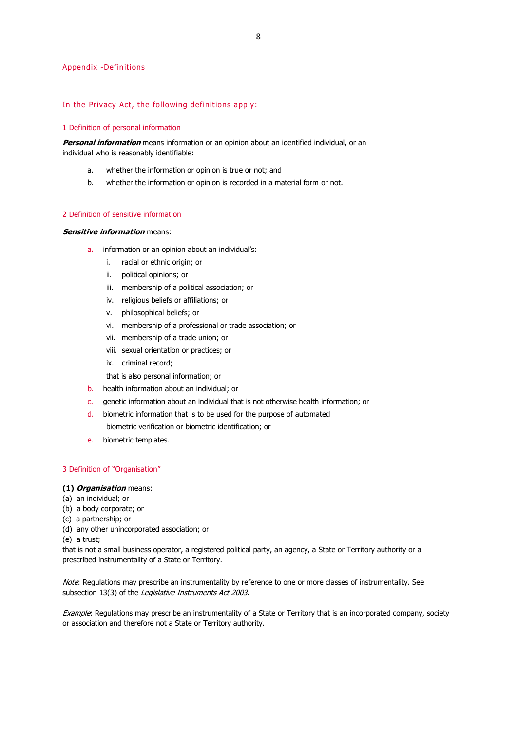#### Appendix -Definitions

#### In the Privacy Act, the following definitions apply:

## 1 Definition of personal information

**Personal information** means information or an opinion about an identified individual, or an individual who is reasonably identifiable:

- a. whether the information or opinion is true or not; and
- b. whether the information or opinion is recorded in a material form or not.

# 2 Definition of sensitive information

# **Sensitive information means:**

- a. information or an opinion about an individual's:
	- i. racial or ethnic origin; or
	- ii. political opinions; or
	- iii. membership of a political association; or
	- iv. religious beliefs or affiliations; or
	- v. philosophical beliefs; or
	- vi. membership of a professional or trade association; or
	- vii. membership of a trade union; or
	- viii. sexual orientation or practices; or
	- ix. criminal record;
	- that is also personal information; or
- b. health information about an individual; or
- c. genetic information about an individual that is not otherwise health information; or
- d. biometric information that is to be used for the purpose of automated biometric verification or biometric identification; or
- e. biometric templates.

## 3 Definition of "Organisation"

## **(1) Organisation** means:

- (a) an individual; or
- (b) a body corporate; or
- (c) a partnership; or
- (d) any other unincorporated association; or

(e) a trust;

that is not a small business operator, a registered political party, an agency, a State or Territory authority or a prescribed instrumentality of a State or Territory.

Note: Regulations may prescribe an instrumentality by reference to one or more classes of instrumentality. See subsection 13(3) of the Legislative Instruments Act 2003.

Example: Regulations may prescribe an instrumentality of a State or Territory that is an incorporated company, society or association and therefore not a State or Territory authority.